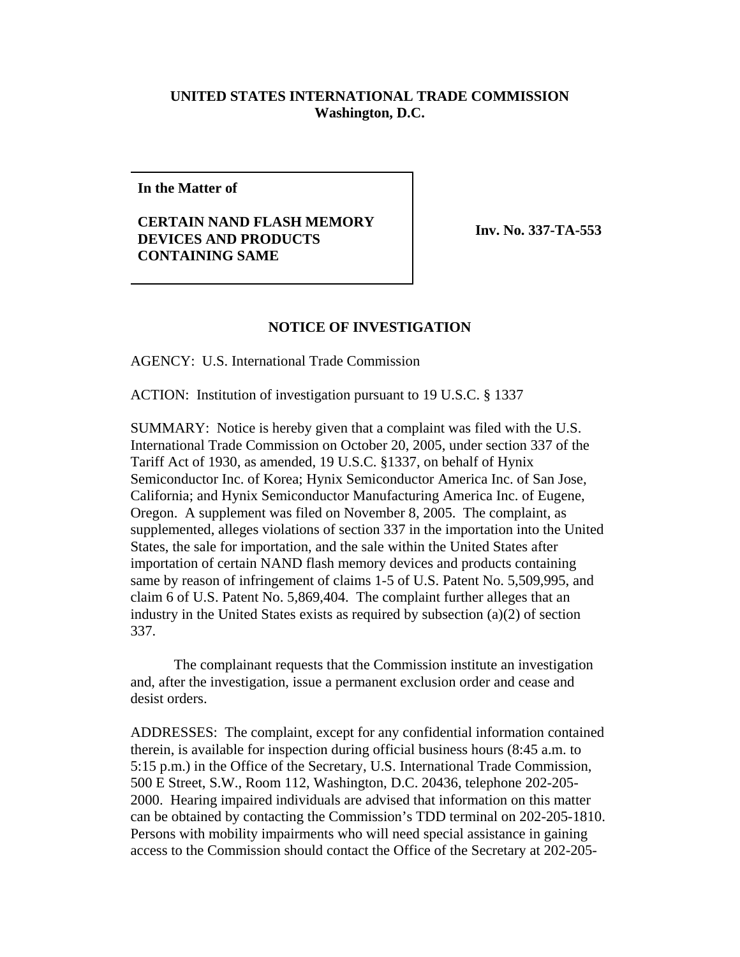## **UNITED STATES INTERNATIONAL TRADE COMMISSION Washington, D.C.**

**In the Matter of**

**CERTAIN NAND FLASH MEMORY DEVICES AND PRODUCTS CONTAINING SAME** 

**Inv. No. 337-TA-553**

## **NOTICE OF INVESTIGATION**

AGENCY: U.S. International Trade Commission

ACTION: Institution of investigation pursuant to 19 U.S.C. § 1337

SUMMARY: Notice is hereby given that a complaint was filed with the U.S. International Trade Commission on October 20, 2005, under section 337 of the Tariff Act of 1930, as amended, 19 U.S.C. §1337, on behalf of Hynix Semiconductor Inc. of Korea; Hynix Semiconductor America Inc. of San Jose, California; and Hynix Semiconductor Manufacturing America Inc. of Eugene, Oregon. A supplement was filed on November 8, 2005. The complaint, as supplemented, alleges violations of section 337 in the importation into the United States, the sale for importation, and the sale within the United States after importation of certain NAND flash memory devices and products containing same by reason of infringement of claims 1-5 of U.S. Patent No. 5,509,995, and claim 6 of U.S. Patent No. 5,869,404. The complaint further alleges that an industry in the United States exists as required by subsection (a)(2) of section 337.

The complainant requests that the Commission institute an investigation and, after the investigation, issue a permanent exclusion order and cease and desist orders.

ADDRESSES: The complaint, except for any confidential information contained therein, is available for inspection during official business hours (8:45 a.m. to 5:15 p.m.) in the Office of the Secretary, U.S. International Trade Commission, 500 E Street, S.W., Room 112, Washington, D.C. 20436, telephone 202-205- 2000. Hearing impaired individuals are advised that information on this matter can be obtained by contacting the Commission's TDD terminal on 202-205-1810. Persons with mobility impairments who will need special assistance in gaining access to the Commission should contact the Office of the Secretary at 202-205-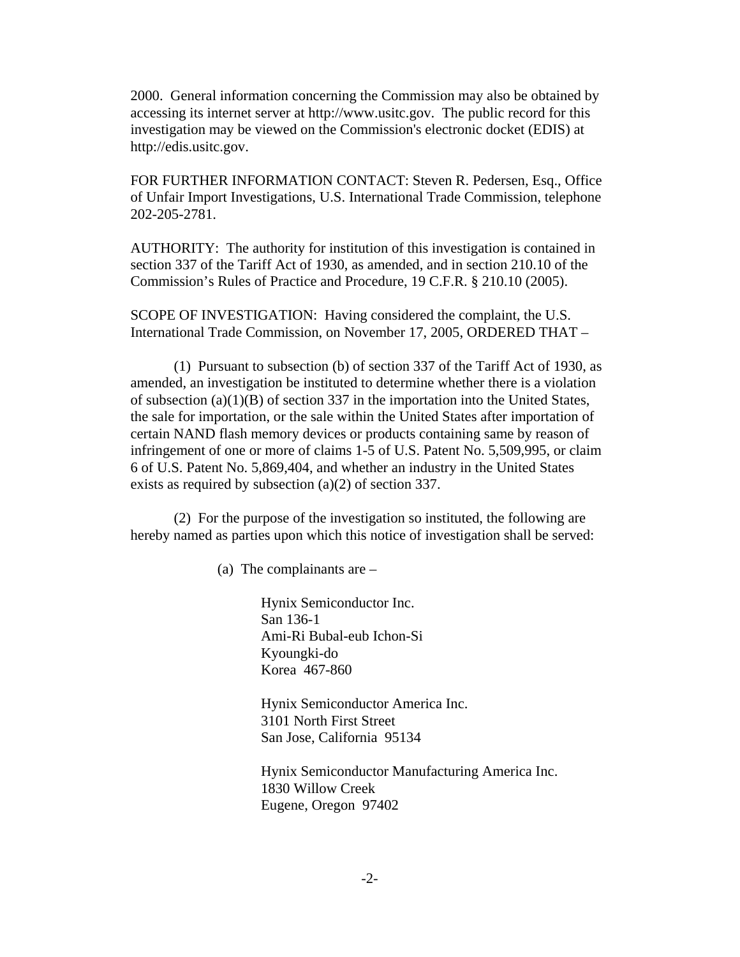2000. General information concerning the Commission may also be obtained by accessing its internet server at http://www.usitc.gov. The public record for this investigation may be viewed on the Commission's electronic docket (EDIS) at http://edis.usitc.gov.

FOR FURTHER INFORMATION CONTACT: Steven R. Pedersen, Esq., Office of Unfair Import Investigations, U.S. International Trade Commission, telephone 202-205-2781.

AUTHORITY: The authority for institution of this investigation is contained in section 337 of the Tariff Act of 1930, as amended, and in section 210.10 of the Commission's Rules of Practice and Procedure, 19 C.F.R. § 210.10 (2005).

SCOPE OF INVESTIGATION: Having considered the complaint, the U.S. International Trade Commission, on November 17, 2005, ORDERED THAT –

(1) Pursuant to subsection (b) of section 337 of the Tariff Act of 1930, as amended, an investigation be instituted to determine whether there is a violation of subsection (a)(1)(B) of section 337 in the importation into the United States, the sale for importation, or the sale within the United States after importation of certain NAND flash memory devices or products containing same by reason of infringement of one or more of claims 1-5 of U.S. Patent No. 5,509,995, or claim 6 of U.S. Patent No. 5,869,404, and whether an industry in the United States exists as required by subsection (a)(2) of section 337.

(2) For the purpose of the investigation so instituted, the following are hereby named as parties upon which this notice of investigation shall be served:

(a) The complainants are –

Hynix Semiconductor Inc. San 136-1 Ami-Ri Bubal-eub Ichon-Si Kyoungki-do Korea 467-860

Hynix Semiconductor America Inc. 3101 North First Street San Jose, California 95134

Hynix Semiconductor Manufacturing America Inc. 1830 Willow Creek Eugene, Oregon 97402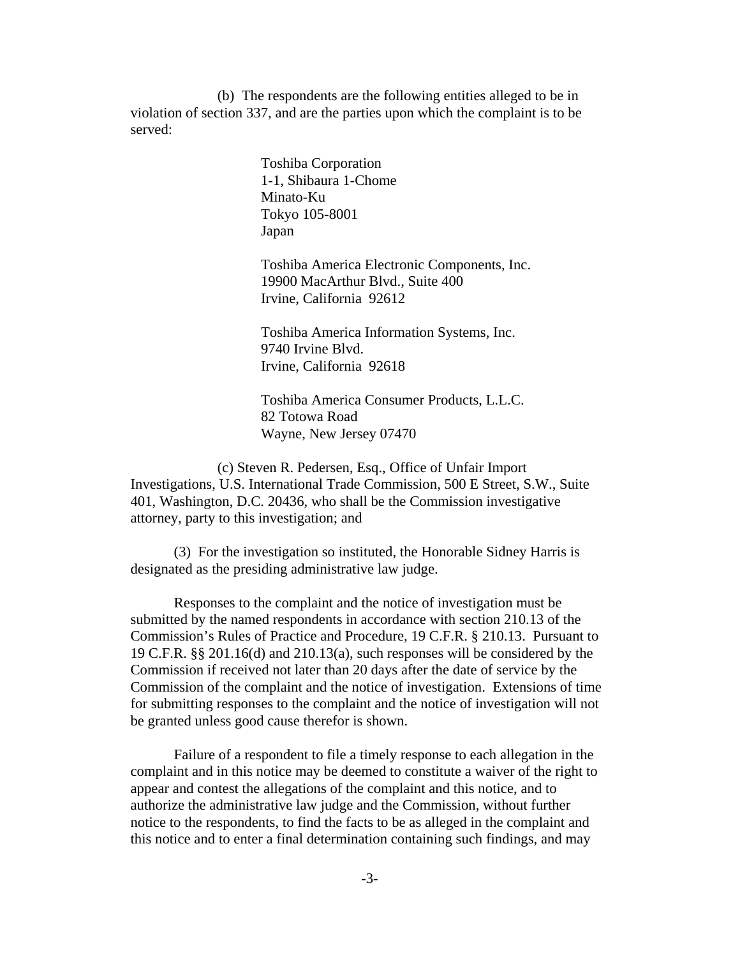(b) The respondents are the following entities alleged to be in violation of section 337, and are the parties upon which the complaint is to be served:

> Toshiba Corporation 1-1, Shibaura 1-Chome Minato-Ku Tokyo 105-8001 Japan

Toshiba America Electronic Components, Inc. 19900 MacArthur Blvd., Suite 400 Irvine, California 92612

Toshiba America Information Systems, Inc. 9740 Irvine Blvd. Irvine, California 92618

Toshiba America Consumer Products, L.L.C. 82 Totowa Road Wayne, New Jersey 07470

(c) Steven R. Pedersen, Esq., Office of Unfair Import Investigations, U.S. International Trade Commission, 500 E Street, S.W., Suite 401, Washington, D.C. 20436, who shall be the Commission investigative attorney, party to this investigation; and

(3) For the investigation so instituted, the Honorable Sidney Harris is designated as the presiding administrative law judge.

Responses to the complaint and the notice of investigation must be submitted by the named respondents in accordance with section 210.13 of the Commission's Rules of Practice and Procedure, 19 C.F.R. § 210.13. Pursuant to 19 C.F.R. §§ 201.16(d) and 210.13(a), such responses will be considered by the Commission if received not later than 20 days after the date of service by the Commission of the complaint and the notice of investigation. Extensions of time for submitting responses to the complaint and the notice of investigation will not be granted unless good cause therefor is shown.

Failure of a respondent to file a timely response to each allegation in the complaint and in this notice may be deemed to constitute a waiver of the right to appear and contest the allegations of the complaint and this notice, and to authorize the administrative law judge and the Commission, without further notice to the respondents, to find the facts to be as alleged in the complaint and this notice and to enter a final determination containing such findings, and may